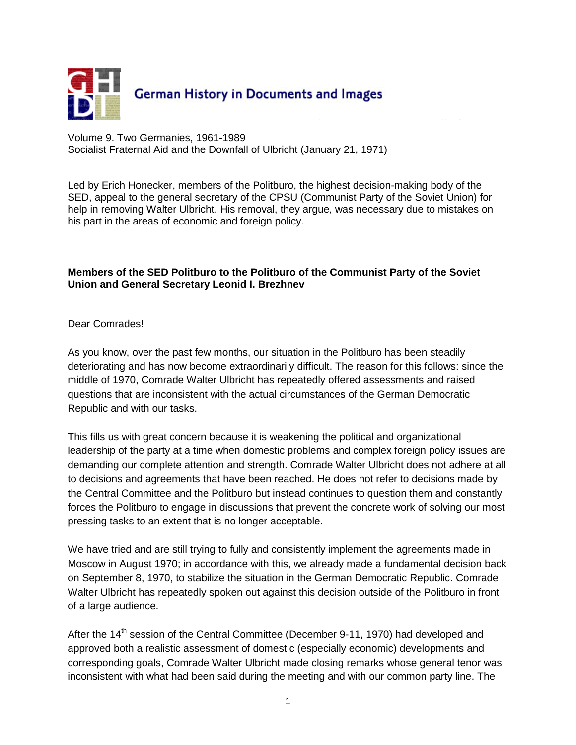

Volume 9. Two Germanies, 1961-1989 Socialist Fraternal Aid and the Downfall of Ulbricht (January 21, 1971)

Led by [Erich Honecker,](javascript:bioinfo(41)) members of the Politburo, the highest decision-making body of the SED, appeal to the general secretary of the CPSU (Communist Party of the Soviet Union) for help in removing [Walter Ulbricht.](javascript:bioinfo(78)) His removal, they argue, was necessary due to mistakes on his part in the areas of economic and foreign policy.

## **Members of the SED Politburo to the Politburo of the Communist Party of the Soviet Union and General Secretary Leonid I. Brezhnev**

## Dear Comrades!

As you know, over the past few months, our situation in the Politburo has been steadily deteriorating and has now become extraordinarily difficult. The reason for this follows: since the middle of 1970, Comrade Walter Ulbricht has repeatedly offered assessments and raised questions that are inconsistent with the actual circumstances of the German Democratic Republic and with our tasks.

This fills us with great concern because it is weakening the political and organizational leadership of the party at a time when domestic problems and complex foreign policy issues are demanding our complete attention and strength. Comrade Walter Ulbricht does not adhere at all to decisions and agreements that have been reached. He does not refer to decisions made by the Central Committee and the Politburo but instead continues to question them and constantly forces the Politburo to engage in discussions that prevent the concrete work of solving our most pressing tasks to an extent that is no longer acceptable.

We have tried and are still trying to fully and consistently implement the agreements made in Moscow in August 1970; in accordance with this, we already made a fundamental decision back on September 8, 1970, to stabilize the situation in the German Democratic Republic. Comrade Walter Ulbricht has repeatedly spoken out against this decision outside of the Politburo in front of a large audience.

After the  $14<sup>th</sup>$  session of the Central Committee (December 9-11, 1970) had developed and approved both a realistic assessment of domestic (especially economic) developments and corresponding goals, Comrade Walter Ulbricht made closing remarks whose general tenor was inconsistent with what had been said during the meeting and with our common party line. The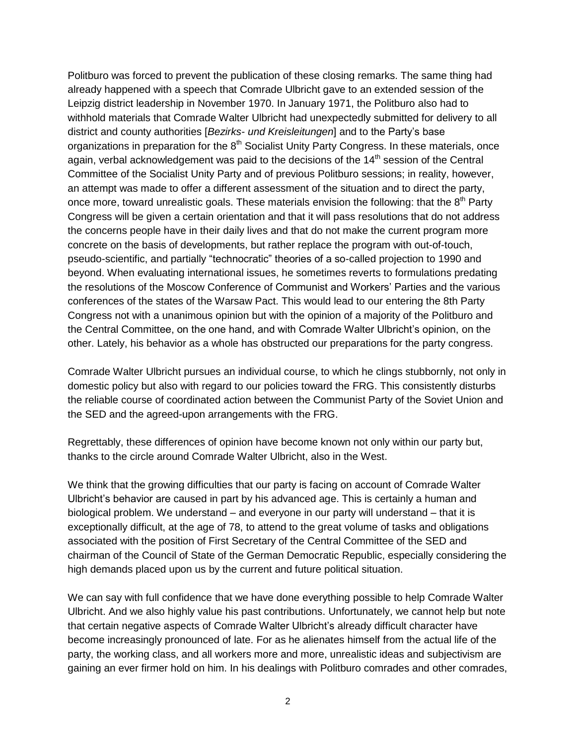Politburo was forced to prevent the publication of these closing remarks. The same thing had already happened with a speech that Comrade Ulbricht gave to an extended session of the Leipzig district leadership in November 1970. In January 1971, the Politburo also had to withhold materials that Comrade Walter Ulbricht had unexpectedly submitted for delivery to all district and county authorities [*Bezirks- und Kreisleitungen*] and to the Party's base organizations in preparation for the 8<sup>th</sup> Socialist Unity Party Congress. In these materials, once again, verbal acknowledgement was paid to the decisions of the  $14<sup>th</sup>$  session of the Central Committee of the Socialist Unity Party and of previous Politburo sessions; in reality, however, an attempt was made to offer a different assessment of the situation and to direct the party, once more, toward unrealistic goals. These materials envision the following: that the  $8<sup>th</sup>$  Party Congress will be given a certain orientation and that it will pass resolutions that do not address the concerns people have in their daily lives and that do not make the current program more concrete on the basis of developments, but rather replace the program with out-of-touch, pseudo-scientific, and partially "technocratic" theories of a so-called projection to 1990 and beyond. When evaluating international issues, he sometimes reverts to formulations predating the resolutions of the Moscow Conference of Communist and Workers' Parties and the various conferences of the states of the Warsaw Pact. This would lead to our entering the 8th Party Congress not with a unanimous opinion but with the opinion of a majority of the Politburo and the Central Committee, on the one hand, and with Comrade Walter Ulbricht's opinion, on the other. Lately, his behavior as a whole has obstructed our preparations for the party congress.

Comrade Walter Ulbricht pursues an individual course, to which he clings stubbornly, not only in domestic policy but also with regard to our policies toward the FRG. This consistently disturbs the reliable course of coordinated action between the Communist Party of the Soviet Union and the SED and the agreed-upon arrangements with the FRG.

Regrettably, these differences of opinion have become known not only within our party but, thanks to the circle around Comrade Walter Ulbricht, also in the West.

We think that the growing difficulties that our party is facing on account of Comrade Walter Ulbricht's behavior are caused in part by his advanced age. This is certainly a human and biological problem. We understand – and everyone in our party will understand – that it is exceptionally difficult, at the age of 78, to attend to the great volume of tasks and obligations associated with the position of First Secretary of the Central Committee of the SED and chairman of the Council of State of the German Democratic Republic, especially considering the high demands placed upon us by the current and future political situation.

We can say with full confidence that we have done everything possible to help Comrade Walter Ulbricht. And we also highly value his past contributions. Unfortunately, we cannot help but note that certain negative aspects of Comrade Walter Ulbricht's already difficult character have become increasingly pronounced of late. For as he alienates himself from the actual life of the party, the working class, and all workers more and more, unrealistic ideas and subjectivism are gaining an ever firmer hold on him. In his dealings with Politburo comrades and other comrades,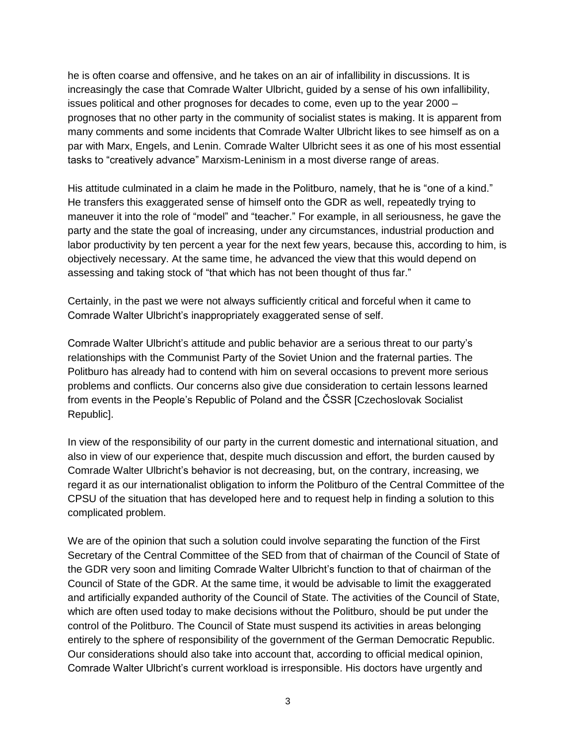he is often coarse and offensive, and he takes on an air of infallibility in discussions. It is increasingly the case that Comrade Walter Ulbricht, guided by a sense of his own infallibility, issues political and other prognoses for decades to come, even up to the year 2000 – prognoses that no other party in the community of socialist states is making. It is apparent from many comments and some incidents that Comrade Walter Ulbricht likes to see himself as on a par with Marx, Engels, and Lenin. Comrade Walter Ulbricht sees it as one of his most essential tasks to "creatively advance" Marxism-Leninism in a most diverse range of areas.

His attitude culminated in a claim he made in the Politburo, namely, that he is "one of a kind." He transfers this exaggerated sense of himself onto the GDR as well, repeatedly trying to maneuver it into the role of "model" and "teacher." For example, in all seriousness, he gave the party and the state the goal of increasing, under any circumstances, industrial production and labor productivity by ten percent a year for the next few years, because this, according to him, is objectively necessary. At the same time, he advanced the view that this would depend on assessing and taking stock of "that which has not been thought of thus far."

Certainly, in the past we were not always sufficiently critical and forceful when it came to Comrade Walter Ulbricht's inappropriately exaggerated sense of self.

Comrade Walter Ulbricht's attitude and public behavior are a serious threat to our party's relationships with the Communist Party of the Soviet Union and the fraternal parties. The Politburo has already had to contend with him on several occasions to prevent more serious problems and conflicts. Our concerns also give due consideration to certain lessons learned from events in the People's Republic of Poland and the ČSSR [Czechoslovak Socialist Republic].

In view of the responsibility of our party in the current domestic and international situation, and also in view of our experience that, despite much discussion and effort, the burden caused by Comrade Walter Ulbricht's behavior is not decreasing, but, on the contrary, increasing, we regard it as our internationalist obligation to inform the Politburo of the Central Committee of the CPSU of the situation that has developed here and to request help in finding a solution to this complicated problem.

We are of the opinion that such a solution could involve separating the function of the First Secretary of the Central Committee of the SED from that of chairman of the Council of State of the GDR very soon and limiting Comrade Walter Ulbricht's function to that of chairman of the Council of State of the GDR. At the same time, it would be advisable to limit the exaggerated and artificially expanded authority of the Council of State. The activities of the Council of State, which are often used today to make decisions without the Politburo, should be put under the control of the Politburo. The Council of State must suspend its activities in areas belonging entirely to the sphere of responsibility of the government of the German Democratic Republic. Our considerations should also take into account that, according to official medical opinion, Comrade Walter Ulbricht's current workload is irresponsible. His doctors have urgently and